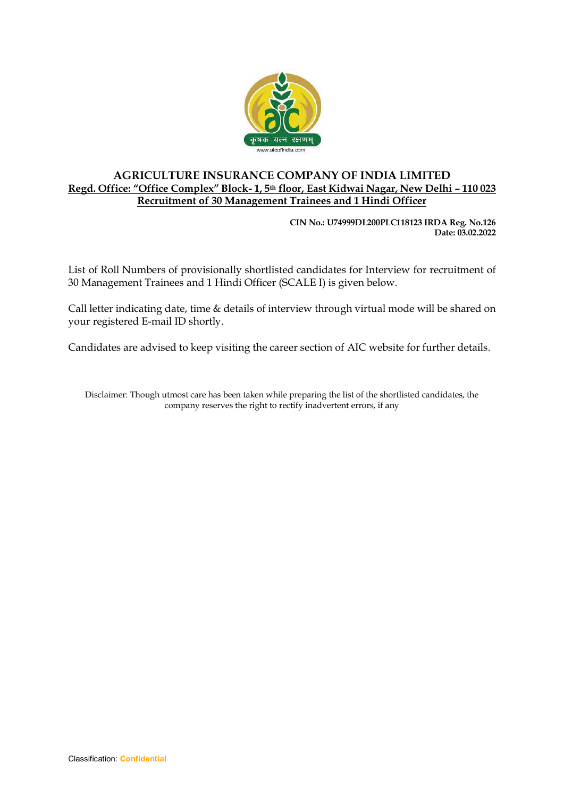

## **AGRICULTURE INSURANCE COMPANY OF INDIA LIMITED Regd. Office: "Office Complex" Block- 1, 5th floor, East Kidwai Nagar, New Delhi – 110 023 Recruitment of 30 Management Trainees and 1 Hindi Officer**

**CIN No.: U74999DL200PLC118123 IRDA Reg. No.126 Date: 03.02.2022**

List of Roll Numbers of provisionally shortlisted candidates for Interview for recruitment of 30 Management Trainees and 1 Hindi Officer (SCALE I) is given below.

Call letter indicating date, time & details of interview through virtual mode will be shared on your registered E-mail ID shortly.

Candidates are advised to keep visiting the career section of AIC website for further details.

Disclaimer: Though utmost care has been taken while preparing the list of the shortlisted candidates, the company reserves the right to rectify inadvertent errors, if any